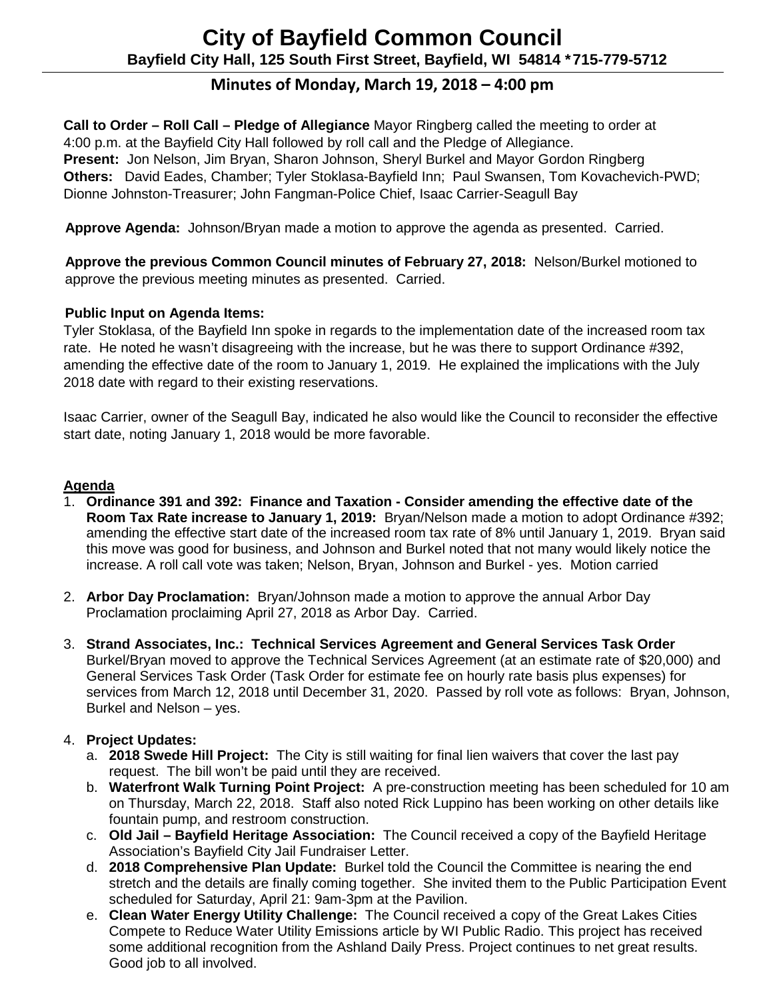# **Minutes of Monday, March 19, 2018 – 4:00 pm**

**Call to Order – Roll Call – Pledge of Allegiance** Mayor Ringberg called the meeting to order at 4:00 p.m. at the Bayfield City Hall followed by roll call and the Pledge of Allegiance. **Present:** Jon Nelson, Jim Bryan, Sharon Johnson, Sheryl Burkel and Mayor Gordon Ringberg **Others:** David Eades, Chamber; Tyler Stoklasa-Bayfield Inn; Paul Swansen, Tom Kovachevich-PWD; Dionne Johnston-Treasurer; John Fangman-Police Chief, Isaac Carrier-Seagull Bay

 **Approve Agenda:** Johnson/Bryan made a motion to approve the agenda as presented. Carried.

 **Approve the previous Common Council minutes of February 27, 2018:** Nelson/Burkel motioned to approve the previous meeting minutes as presented. Carried.

# **Public Input on Agenda Items:**

Tyler Stoklasa, of the Bayfield Inn spoke in regards to the implementation date of the increased room tax rate. He noted he wasn't disagreeing with the increase, but he was there to support Ordinance #392, amending the effective date of the room to January 1, 2019. He explained the implications with the July 2018 date with regard to their existing reservations.

Isaac Carrier, owner of the Seagull Bay, indicated he also would like the Council to reconsider the effective start date, noting January 1, 2018 would be more favorable.

# **Agenda**

- 1. **Ordinance 391 and 392: Finance and Taxation - Consider amending the effective date of the Room Tax Rate increase to January 1, 2019:** Bryan/Nelson made a motion to adopt Ordinance #392; amending the effective start date of the increased room tax rate of 8% until January 1, 2019. Bryan said this move was good for business, and Johnson and Burkel noted that not many would likely notice the increase. A roll call vote was taken; Nelson, Bryan, Johnson and Burkel - yes. Motion carried
- 2. **Arbor Day Proclamation:** Bryan/Johnson made a motion to approve the annual Arbor Day Proclamation proclaiming April 27, 2018 as Arbor Day. Carried.
- 3. **Strand Associates, Inc.: Technical Services Agreement and General Services Task Order** Burkel/Bryan moved to approve the Technical Services Agreement (at an estimate rate of \$20,000) and General Services Task Order (Task Order for estimate fee on hourly rate basis plus expenses) for services from March 12, 2018 until December 31, 2020. Passed by roll vote as follows: Bryan, Johnson, Burkel and Nelson – yes.

# 4. **Project Updates:**

- a. **2018 Swede Hill Project:** The City is still waiting for final lien waivers that cover the last pay request. The bill won't be paid until they are received.
- b. **Waterfront Walk Turning Point Project:** A pre-construction meeting has been scheduled for 10 am on Thursday, March 22, 2018. Staff also noted Rick Luppino has been working on other details like fountain pump, and restroom construction.
- c. **Old Jail – Bayfield Heritage Association:** The Council received a copy of the Bayfield Heritage Association's Bayfield City Jail Fundraiser Letter.
- d. **2018 Comprehensive Plan Update:** Burkel told the Council the Committee is nearing the end stretch and the details are finally coming together. She invited them to the Public Participation Event scheduled for Saturday, April 21: 9am-3pm at the Pavilion.
- e. **Clean Water Energy Utility Challenge:** The Council received a copy of the Great Lakes Cities Compete to Reduce Water Utility Emissions article by WI Public Radio. This project has received some additional recognition from the Ashland Daily Press. Project continues to net great results. Good job to all involved.